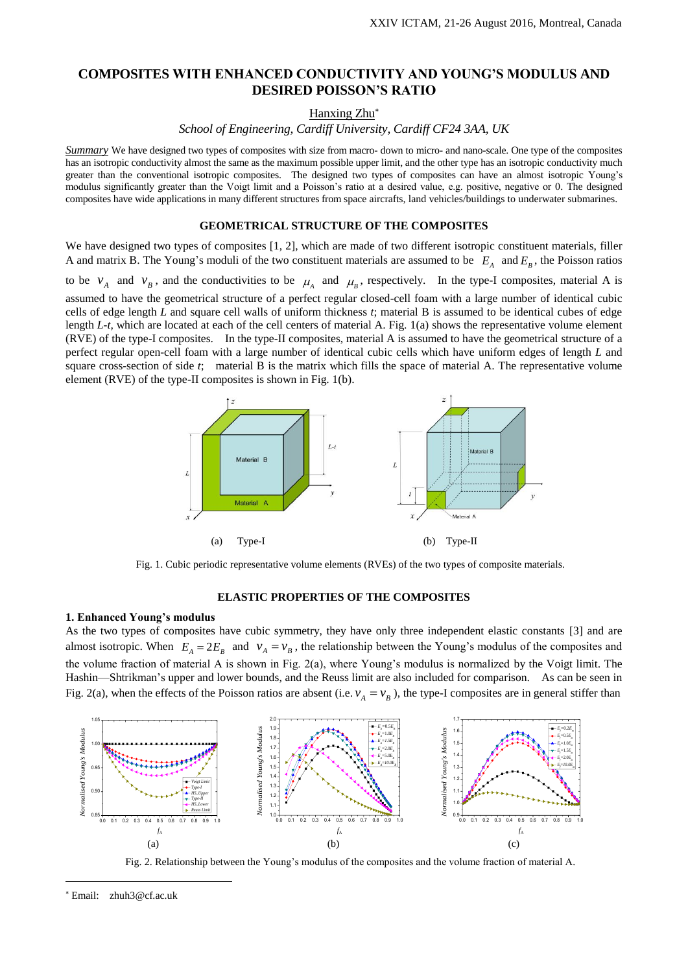# **COMPOSITES WITH ENHANCED CONDUCTIVITY AND YOUNG'S MODULUS AND DESIRED POISSON'S RATIO**

Hanxing Zhu

*School of Engineering, Cardiff University, Cardiff CF24 3AA, UK*

*Summary* We have designed two types of composites with size from macro- down to micro- and nano-scale. One type of the composites has an isotropic conductivity almost the same as the maximum possible upper limit, and the other type has an isotropic conductivity much greater than the conventional isotropic composites. The designed two types of composites can have an almost isotropic Young's modulus significantly greater than the Voigt limit and a Poisson's ratio at a desired value, e.g. positive, negative or 0. The designed composites have wide applications in many different structures from space aircrafts, land vehicles/buildings to underwater submarines.

## **GEOMETRICAL STRUCTURE OF THE COMPOSITES**

We have designed two types of composites [1, 2], which are made of two different isotropic constituent materials, filler A and matrix B. The Young's moduli of the two constituent materials are assumed to be  $E_A$  and  $E_B$ , the Poisson ratios to be  $v_A$  and  $v_B$ , and the conductivities to be  $\mu_A$  and  $\mu_B$ , respectively. In the type-I composites, material A is

assumed to have the geometrical structure of a perfect regular closed-cell foam with a large number of identical cubic cells of edge length *L* and square cell walls of uniform thickness *t*; material B is assumed to be identical cubes of edge length *L-t,* which are located at each of the cell centers of material A. Fig. 1(a) shows the representative volume element (RVE) of the type-I composites. In the type-II composites, material A is assumed to have the geometrical structure of a perfect regular open-cell foam with a large number of identical cubic cells which have uniform edges of length *L* and square cross-section of side *t*; material B is the matrix which fills the space of material A. The representative volume element (RVE) of the type-II composites is shown in Fig. 1(b).



Fig. 1. Cubic periodic representative volume elements (RVEs) of the two types of composite materials.

## **ELASTIC PROPERTIES OF THE COMPOSITES**

#### **1. Enhanced Young's modulus**

As the two types of composites have cubic symmetry, they have only three independent elastic constants [3] and are almost isotropic. When  $E_A = 2E_B$  and  $v_A = v_B$ , the relationship between the Young's modulus of the composites and the volume fraction of material A is shown in Fig. 2(a), where Young's modulus is normalized by the Voigt limit. The Hashin—Shtrikman's upper and lower bounds, and the Reuss limit are also included for comparison. As can be seen in Fig. 2(a), when the effects of the Poisson ratios are absent (i.e.  $v_A = v_B$ ), the type-I composites are in general stiffer than



Fig. 2. Relationship between the Young's modulus of the composites and the volume fraction of material A.

i<br>L

Email: zhuh3@cf.ac.uk